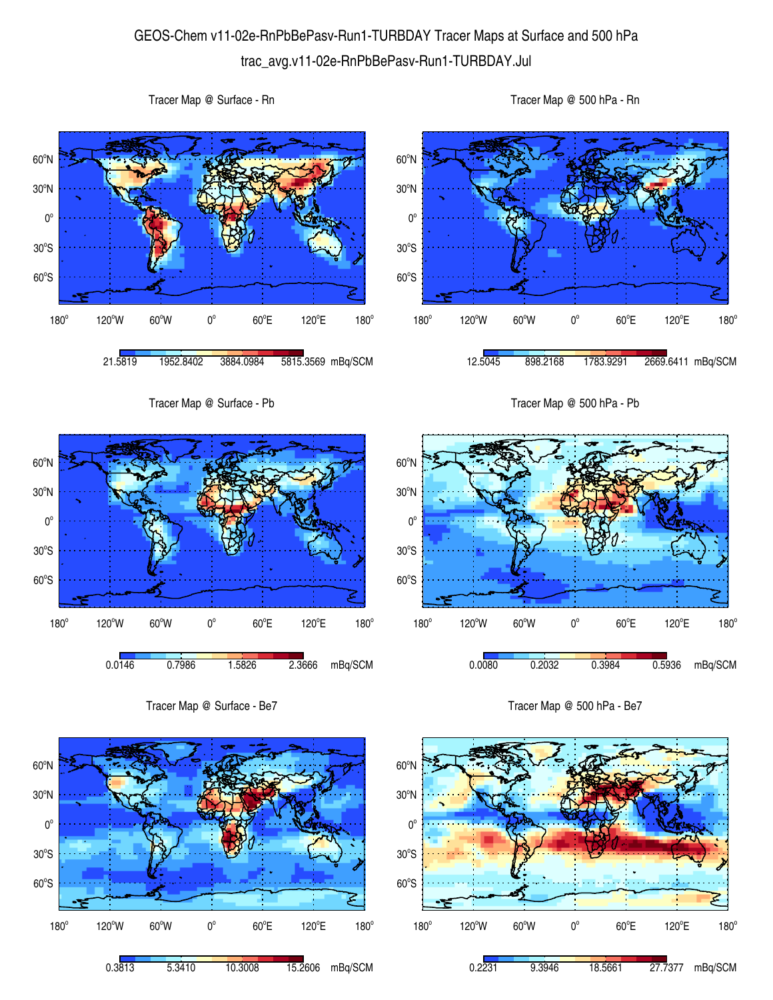## GEOS-Chem v11-02e-RnPbBePasv-Run1-TURBDAY Tracer Maps at Surface and 500 hPa trac\_avg.v11-02e-RnPbBePasv-Run1-TURBDAY.Jul





Tracer Map @ Surface - Rn



Tracer Map @ 500 hPa - Rn